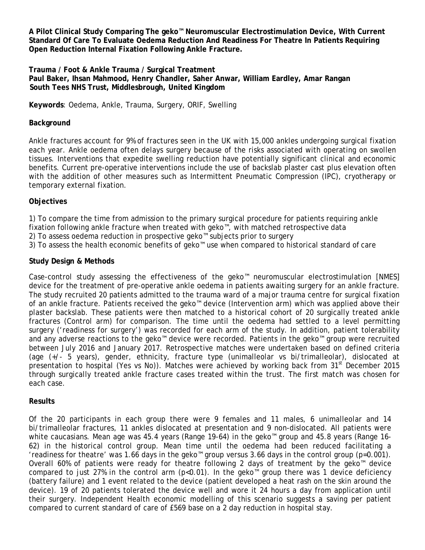**A Pilot Clinical Study Comparing The geko™ Neuromuscular Electrostimulation Device, With Current Standard Of Care To Evaluate Oedema Reduction And Readiness For Theatre In Patients Requiring Open Reduction Internal Fixation Following Ankle Fracture.**

**Trauma / Foot & Ankle Trauma / Surgical Treatment Paul Baker, Ihsan Mahmood, Henry Chandler, Saher Anwar, William Eardley, Amar Rangan South Tees NHS Trust, Middlesbrough, United Kingdom** 

**Keywords**: Oedema, Ankle, Trauma, Surgery, ORIF, Swelling

## **Background**

Ankle fractures account for 9% of fractures seen in the UK with 15,000 ankles undergoing surgical fixation each year. Ankle oedema often delays surgery because of the risks associated with operating on swollen tissues. Interventions that expedite swelling reduction have potentially significant clinical and economic benefits. Current pre-operative interventions include the use of backslab plaster cast plus elevation often with the addition of other measures such as Intermittent Pneumatic Compression (IPC), cryotherapy or temporary external fixation.

## **Objectives**

1) To compare the time from admission to the primary surgical procedure for patients requiring ankle fixation following ankle fracture when treated with geko™, with matched retrospective data

- 2) To assess oedema reduction in prospective geko™ subjects prior to surgery
- 3) To assess the health economic benefits of geko™ use when compared to historical standard of care

## **Study Design & Methods**

Case-control study assessing the effectiveness of the geko™ neuromuscular electrostimulation [NMES] device for the treatment of pre-operative ankle oedema in patients awaiting surgery for an ankle fracture. The study recruited 20 patients admitted to the trauma ward of a major trauma centre for surgical fixation of an ankle fracture. Patients received the geko™ device (Intervention arm) which was applied above their plaster backslab. These patients were then matched to a historical cohort of 20 surgically treated ankle fractures (Control arm) for comparison. The time until the oedema had settled to a level permitting surgery ('readiness for surgery') was recorded for each arm of the study. In addition, patient tolerability and any adverse reactions to the geko™ device were recorded. Patients in the geko™ group were recruited between July 2016 and January 2017. Retrospective matches were undertaken based on defined criteria (age (+/- 5 years), gender, ethnicity, fracture type (unimalleolar vs bi/trimalleolar), dislocated at presentation to hospital (Yes vs No)). Matches were achieved by working back from 31<sup>st</sup> December 2015 through surgically treated ankle fracture cases treated within the trust. The first match was chosen for each case.

### **Results**

Of the 20 participants in each group there were 9 females and 11 males, 6 unimalleolar and 14 bi/trimalleolar fractures, 11 ankles dislocated at presentation and 9 non-dislocated. All patients were white caucasians. Mean age was 45.4 years (Range 19-64) in the geko™ group and 45.8 years (Range 16- 62) in the historical control group. Mean time until the oedema had been reduced facilitating a 'readiness for theatre' was 1.66 days in the geko™ group versus 3.66 days in the control group (p=0.001). Overall 60% of patients were ready for theatre following 2 days of treatment by the geko™ device compared to just 27% in the control arm ( $p<0.01$ ). In the geko<sup>m</sup> group there was 1 device deficiency (battery failure) and 1 event related to the device (patient developed a heat rash on the skin around the device). 19 of 20 patients tolerated the device well and wore it 24 hours a day from application until their surgery. Independent Health economic modelling of this scenario suggests a saving per patient compared to current standard of care of £569 base on a 2 day reduction in hospital stay.